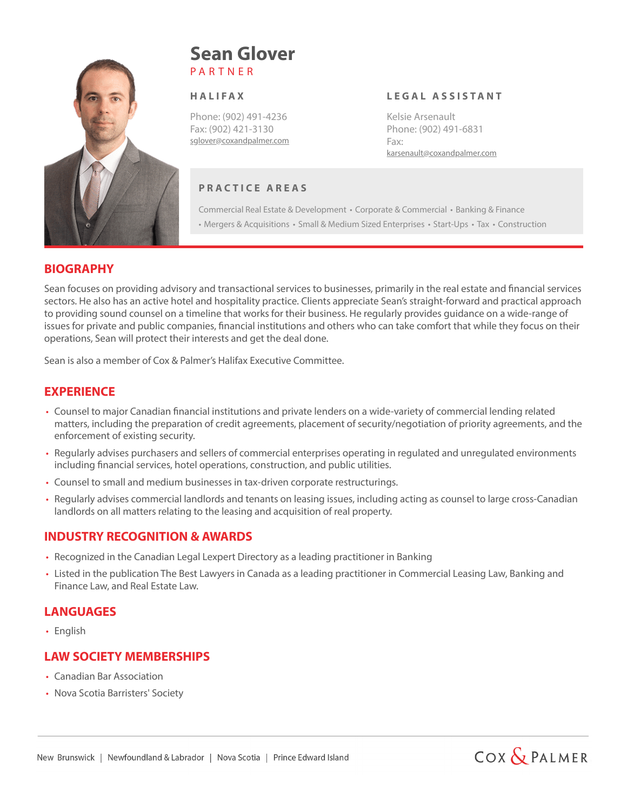

# P A R T N E R **Sean Glover**

#### **H A L I FA X**

Phone: (902) 491-4236 Fax: (902) 421-3130 sglover@coxandpalmer.com

# **P R A C T I C E A R E A S**

Commercial Real Estate & Development • Corporate & Commercial • Banking & Finance • Mergers & Acquisitions • Small & Medium Sized Enterprises • Start-Ups • Tax • Construction

**L E G A L A S S I S TA N T**

karsenault@coxandpalmer.com

Kelsie Arsenault Phone: (902) 491-6831

Fax:

#### **BIOGRAPHY**

Sean focuses on providing advisory and transactional services to businesses, primarily in the real estate and financial services sectors. He also has an active hotel and hospitality practice. Clients appreciate Sean's straight-forward and practical approach to providing sound counsel on a timeline that works for their business. He regularly provides guidance on a wide-range of issues for private and public companies, financial institutions and others who can take comfort that while they focus on their operations, Sean will protect their interests and get the deal done.

Sean is also a member of Cox & Palmer's Halifax Executive Committee.

# **EXPERIENCE**

- Counsel to major Canadian financial institutions and private lenders on a wide-variety of commercial lending related matters, including the preparation of credit agreements, placement of security/negotiation of priority agreements, and the enforcement of existing security.
- Regularly advises purchasers and sellers of commercial enterprises operating in regulated and unregulated environments including financial services, hotel operations, construction, and public utilities.
- Counsel to small and medium businesses in tax-driven corporate restructurings.
- Regularly advises commercial landlords and tenants on leasing issues, including acting as counsel to large cross-Canadian landlords on all matters relating to the leasing and acquisition of real property.

# **INDUSTRY RECOGNITION & AWARDS**

- Recognized in the Canadian Legal Lexpert Directory as a leading practitioner in Banking
- Listed in the publication The Best Lawyers in Canada as a leading practitioner in Commercial Leasing Law, Banking and Finance Law, and Real Estate Law.

# **LANGUAGES**

• English

# **LAW SOCIETY MEMBERSHIPS**

- Canadian Bar Association
- Nova Scotia Barristers' Society